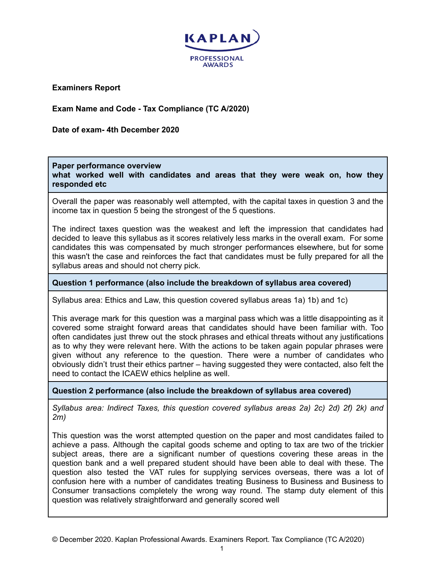

**Examiners Report**

**Exam Name and Code - Tax Compliance (TC A/2020)**

**Date of exam- 4th December 2020**

**Paper performance overview**

**what worked well with candidates and areas that they were weak on, how they responded etc**

Overall the paper was reasonably well attempted, with the capital taxes in question 3 and the income tax in question 5 being the strongest of the 5 questions.

The indirect taxes question was the weakest and left the impression that candidates had decided to leave this syllabus as it scores relatively less marks in the overall exam. For some candidates this was compensated by much stronger performances elsewhere, but for some this wasn't the case and reinforces the fact that candidates must be fully prepared for all the syllabus areas and should not cherry pick.

## **Question 1 performance (also include the breakdown of syllabus area covered)**

Syllabus area: Ethics and Law, this question covered syllabus areas 1a) 1b) and 1c)

This average mark for this question was a marginal pass which was a little disappointing as it covered some straight forward areas that candidates should have been familiar with. Too often candidates just threw out the stock phrases and ethical threats without any justifications as to why they were relevant here. With the actions to be taken again popular phrases were given without any reference to the question. There were a number of candidates who obviously didn't trust their ethics partner – having suggested they were contacted, also felt the need to contact the ICAEW ethics helpline as well.

**Question 2 performance (also include the breakdown of syllabus area covered)**

*Syllabus area: Indirect Taxes, this question covered syllabus areas 2a) 2c) 2d) 2f) 2k) and 2m)*

This question was the worst attempted question on the paper and most candidates failed to achieve a pass. Although the capital goods scheme and opting to tax are two of the trickier subject areas, there are a significant number of questions covering these areas in the question bank and a well prepared student should have been able to deal with these. The question also tested the VAT rules for supplying services overseas, there was a lot of confusion here with a number of candidates treating Business to Business and Business to Consumer transactions completely the wrong way round. The stamp duty element of this question was relatively straightforward and generally scored well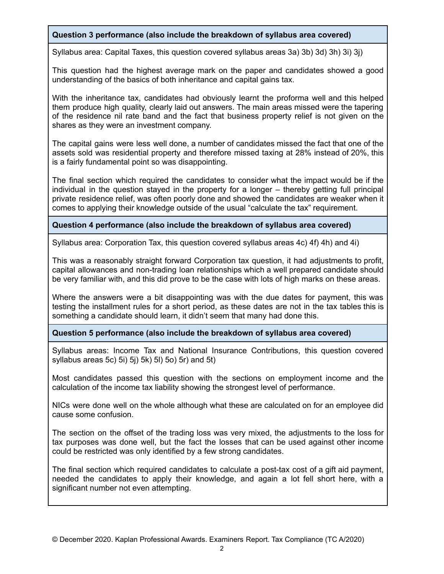# **Question 3 performance (also include the breakdown of syllabus area covered)**

Syllabus area: Capital Taxes, this question covered syllabus areas 3a) 3b) 3d) 3h) 3i) 3j)

This question had the highest average mark on the paper and candidates showed a good understanding of the basics of both inheritance and capital gains tax.

With the inheritance tax, candidates had obviously learnt the proforma well and this helped them produce high quality, clearly laid out answers. The main areas missed were the tapering of the residence nil rate band and the fact that business property relief is not given on the shares as they were an investment company.

The capital gains were less well done, a number of candidates missed the fact that one of the assets sold was residential property and therefore missed taxing at 28% instead of 20%, this is a fairly fundamental point so was disappointing.

The final section which required the candidates to consider what the impact would be if the individual in the question stayed in the property for a longer – thereby getting full principal private residence relief, was often poorly done and showed the candidates are weaker when it comes to applying their knowledge outside of the usual "calculate the tax" requirement.

# **Question 4 performance (also include the breakdown of syllabus area covered)**

Syllabus area: Corporation Tax, this question covered syllabus areas 4c) 4f) 4h) and 4i)

This was a reasonably straight forward Corporation tax question, it had adjustments to profit, capital allowances and non-trading loan relationships which a well prepared candidate should be very familiar with, and this did prove to be the case with lots of high marks on these areas.

Where the answers were a bit disappointing was with the due dates for payment, this was testing the installment rules for a short period, as these dates are not in the tax tables this is something a candidate should learn, it didn't seem that many had done this.

#### **Question 5 performance (also include the breakdown of syllabus area covered)**

Syllabus areas: Income Tax and National Insurance Contributions, this question covered syllabus areas 5c) 5i) 5j) 5k) 5l) 5o) 5r) and 5t)

Most candidates passed this question with the sections on employment income and the calculation of the income tax liability showing the strongest level of performance.

NICs were done well on the whole although what these are calculated on for an employee did cause some confusion.

The section on the offset of the trading loss was very mixed, the adjustments to the loss for tax purposes was done well, but the fact the losses that can be used against other income could be restricted was only identified by a few strong candidates.

The final section which required candidates to calculate a post-tax cost of a gift aid payment, needed the candidates to apply their knowledge, and again a lot fell short here, with a significant number not even attempting.